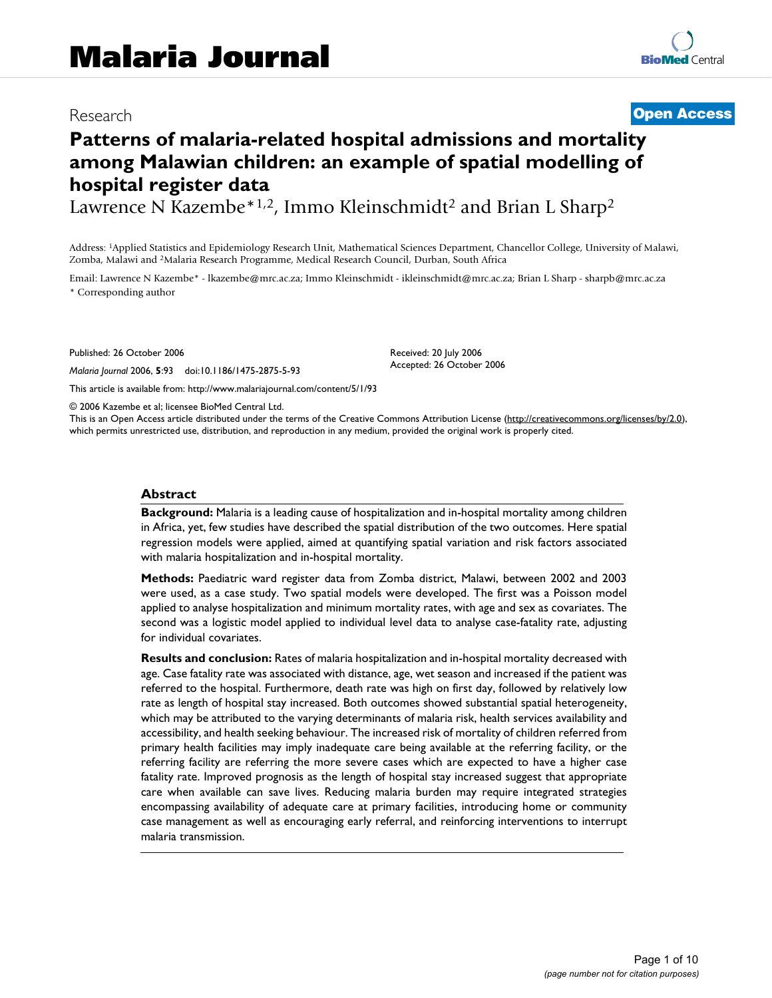# Research **[Open Access](http://www.biomedcentral.com/info/about/charter/)**

# **Patterns of malaria-related hospital admissions and mortality among Malawian children: an example of spatial modelling of hospital register data**

Lawrence N Kazembe\*<sup>1,2</sup>, Immo Kleinschmidt<sup>2</sup> and Brian L Sharp<sup>2</sup>

Address: 1Applied Statistics and Epidemiology Research Unit, Mathematical Sciences Department, Chancellor College, University of Malawi, Zomba, Malawi and 2Malaria Research Programme, Medical Research Council, Durban, South Africa

Email: Lawrence N Kazembe\* - lkazembe@mrc.ac.za; Immo Kleinschmidt - ikleinschmidt@mrc.ac.za; Brian L Sharp - sharpb@mrc.ac.za \* Corresponding author

Published: 26 October 2006

*Malaria Journal* 2006, **5**:93 doi:10.1186/1475-2875-5-93

[This article is available from: http://www.malariajournal.com/content/5/1/93](http://www.malariajournal.com/content/5/1/93)

© 2006 Kazembe et al; licensee BioMed Central Ltd.

This is an Open Access article distributed under the terms of the Creative Commons Attribution License [\(http://creativecommons.org/licenses/by/2.0\)](http://creativecommons.org/licenses/by/2.0), which permits unrestricted use, distribution, and reproduction in any medium, provided the original work is properly cited.

Received: 20 July 2006 Accepted: 26 October 2006

#### **Abstract**

**Background:** Malaria is a leading cause of hospitalization and in-hospital mortality among children in Africa, yet, few studies have described the spatial distribution of the two outcomes. Here spatial regression models were applied, aimed at quantifying spatial variation and risk factors associated with malaria hospitalization and in-hospital mortality.

**Methods:** Paediatric ward register data from Zomba district, Malawi, between 2002 and 2003 were used, as a case study. Two spatial models were developed. The first was a Poisson model applied to analyse hospitalization and minimum mortality rates, with age and sex as covariates. The second was a logistic model applied to individual level data to analyse case-fatality rate, adjusting for individual covariates.

**Results and conclusion:** Rates of malaria hospitalization and in-hospital mortality decreased with age. Case fatality rate was associated with distance, age, wet season and increased if the patient was referred to the hospital. Furthermore, death rate was high on first day, followed by relatively low rate as length of hospital stay increased. Both outcomes showed substantial spatial heterogeneity, which may be attributed to the varying determinants of malaria risk, health services availability and accessibility, and health seeking behaviour. The increased risk of mortality of children referred from primary health facilities may imply inadequate care being available at the referring facility, or the referring facility are referring the more severe cases which are expected to have a higher case fatality rate. Improved prognosis as the length of hospital stay increased suggest that appropriate care when available can save lives. Reducing malaria burden may require integrated strategies encompassing availability of adequate care at primary facilities, introducing home or community case management as well as encouraging early referral, and reinforcing interventions to interrupt malaria transmission.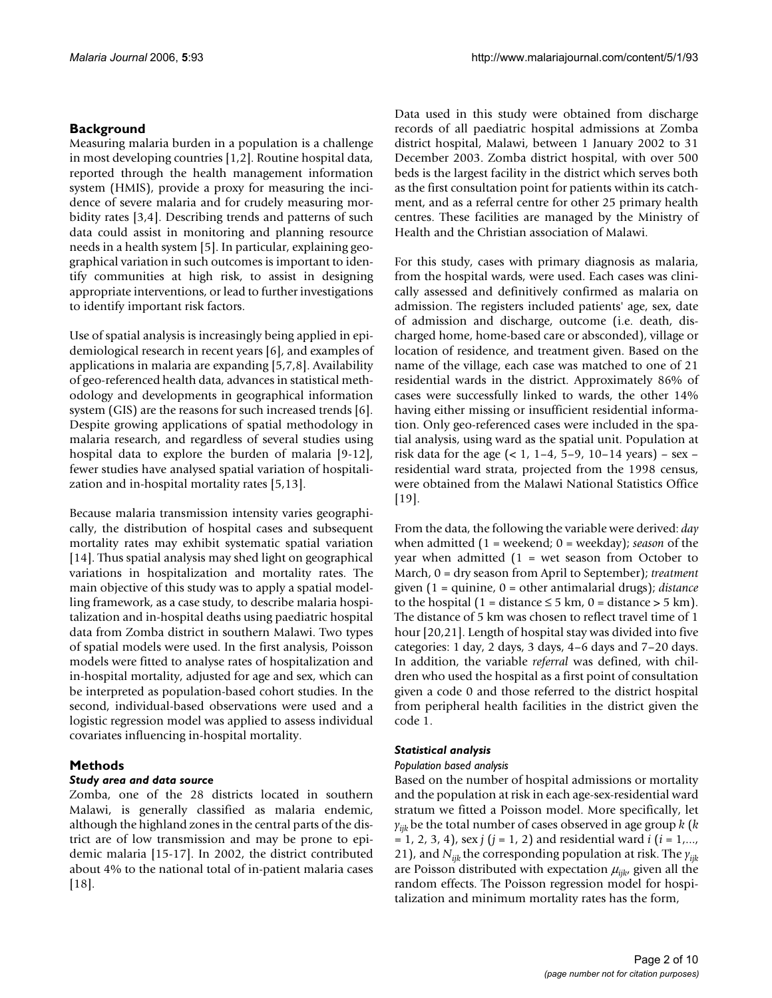# **Background**

Measuring malaria burden in a population is a challenge in most developing countries [1,2]. Routine hospital data, reported through the health management information system (HMIS), provide a proxy for measuring the incidence of severe malaria and for crudely measuring morbidity rates [3,4]. Describing trends and patterns of such data could assist in monitoring and planning resource needs in a health system [5]. In particular, explaining geographical variation in such outcomes is important to identify communities at high risk, to assist in designing appropriate interventions, or lead to further investigations to identify important risk factors.

Use of spatial analysis is increasingly being applied in epidemiological research in recent years [6], and examples of applications in malaria are expanding [5,7,8]. Availability of geo-referenced health data, advances in statistical methodology and developments in geographical information system (GIS) are the reasons for such increased trends [6]. Despite growing applications of spatial methodology in malaria research, and regardless of several studies using hospital data to explore the burden of malaria [9-12], fewer studies have analysed spatial variation of hospitalization and in-hospital mortality rates [5,13].

Because malaria transmission intensity varies geographically, the distribution of hospital cases and subsequent mortality rates may exhibit systematic spatial variation [14]. Thus spatial analysis may shed light on geographical variations in hospitalization and mortality rates. The main objective of this study was to apply a spatial modelling framework, as a case study, to describe malaria hospitalization and in-hospital deaths using paediatric hospital data from Zomba district in southern Malawi. Two types of spatial models were used. In the first analysis, Poisson models were fitted to analyse rates of hospitalization and in-hospital mortality, adjusted for age and sex, which can be interpreted as population-based cohort studies. In the second, individual-based observations were used and a logistic regression model was applied to assess individual covariates influencing in-hospital mortality.

# **Methods**

#### *Study area and data source*

Zomba, one of the 28 districts located in southern Malawi, is generally classified as malaria endemic, although the highland zones in the central parts of the district are of low transmission and may be prone to epidemic malaria [15-17]. In 2002, the district contributed about 4% to the national total of in-patient malaria cases [18].

Data used in this study were obtained from discharge records of all paediatric hospital admissions at Zomba district hospital, Malawi, between 1 January 2002 to 31 December 2003. Zomba district hospital, with over 500 beds is the largest facility in the district which serves both as the first consultation point for patients within its catchment, and as a referral centre for other 25 primary health centres. These facilities are managed by the Ministry of Health and the Christian association of Malawi.

For this study, cases with primary diagnosis as malaria, from the hospital wards, were used. Each cases was clinically assessed and definitively confirmed as malaria on admission. The registers included patients' age, sex, date of admission and discharge, outcome (i.e. death, discharged home, home-based care or absconded), village or location of residence, and treatment given. Based on the name of the village, each case was matched to one of 21 residential wards in the district. Approximately 86% of cases were successfully linked to wards, the other 14% having either missing or insufficient residential information. Only geo-referenced cases were included in the spatial analysis, using ward as the spatial unit. Population at risk data for the age  $(< 1, 1-4, 5-9, 10-14$  years) – sex – residential ward strata, projected from the 1998 census, were obtained from the Malawi National Statistics Office [19].

From the data, the following the variable were derived: *day* when admitted (1 = weekend; 0 = weekday); *season* of the year when admitted  $(1 = wet$  season from October to March, 0 = dry season from April to September); *treatment* given (1 = quinine, 0 = other antimalarial drugs); *distance* to the hospital (1 = distance  $\leq$  5 km, 0 = distance  $>$  5 km). The distance of 5 km was chosen to reflect travel time of 1 hour [20,21]. Length of hospital stay was divided into five categories: 1 day, 2 days, 3 days, 4–6 days and 7–20 days. In addition, the variable *referral* was defined, with children who used the hospital as a first point of consultation given a code 0 and those referred to the district hospital from peripheral health facilities in the district given the code 1.

# *Statistical analysis*

#### *Population based analysis*

Based on the number of hospital admissions or mortality and the population at risk in each age-sex-residential ward stratum we fitted a Poisson model. More specifically, let *yijk* be the total number of cases observed in age group *k* (*k* = 1, 2, 3, 4), sex *j* (*j* = 1, 2) and residential ward *i* (*i* = 1,..., 21), and *Nijk* the corresponding population at risk. The *yijk* are Poisson distributed with expectation  $\mu_{ijk}$ , given all the random effects. The Poisson regression model for hospitalization and minimum mortality rates has the form,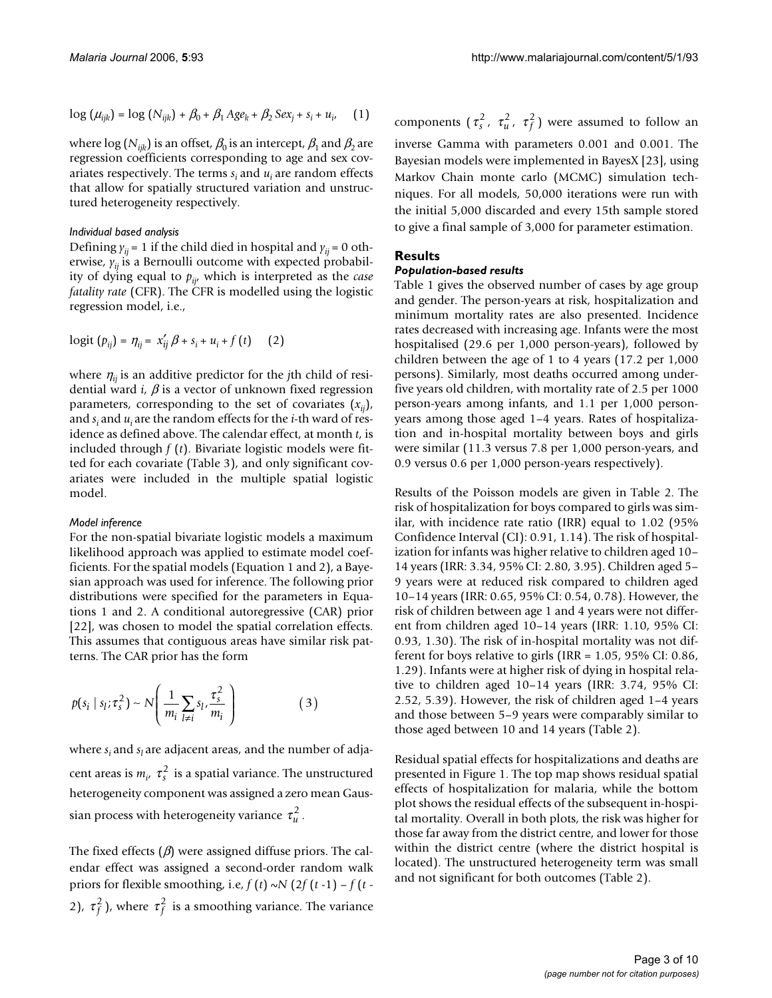$$
\log (\mu_{ijk}) = \log (N_{ijk}) + \beta_0 + \beta_1 A g e_k + \beta_2 S e x_j + s_i + u_i \quad (1)
$$

where  $\log(N_{ijk})$  is an offset,  $\beta_0$  is an intercept,  $\beta_1$  and  $\beta_2$  are regression coefficients corresponding to age and sex covariates respectively. The terms  $s_i$  and  $u_i$  are random effects that allow for spatially structured variation and unstructured heterogeneity respectively.

#### *Individual based analysis*

Defining  $\gamma_{ii}$  = 1 if the child died in hospital and  $\gamma_{ii}$  = 0 otherwise,  $\gamma_{ii}$  is a Bernoulli outcome with expected probability of dying equal to *pij*, which is interpreted as the *case fatality rate* (CFR). The CFR is modelled using the logistic regression model, i.e.,

$$
logit (p_{ij}) = \eta_{ij} = x'_{ij} \beta + s_i + u_i + f(t) \quad (2)
$$

where  $\eta_{ij}$  is an additive predictor for the *j*th child of residential ward *i*, β is a vector of unknown fixed regression parameters, corresponding to the set of covariates  $(x_{ii})$ , and  $s_i$  and  $u_i$  are the random effects for the *i*-th ward of residence as defined above. The calendar effect, at month *t*, is included through *f* (*t*). Bivariate logistic models were fitted for each covariate (Table 3), and only significant covariates were included in the multiple spatial logistic model.

#### *Model inference*

For the non-spatial bivariate logistic models a maximum likelihood approach was applied to estimate model coefficients. For the spatial models (Equation 1 and 2), a Bayesian approach was used for inference. The following prior distributions were specified for the parameters in Equations 1 and 2. A conditional autoregressive (CAR) prior [22], was chosen to model the spatial correlation effects. This assumes that contiguous areas have similar risk patterns. The CAR prior has the form

$$
p(s_i \mid s_l; \tau_s^2) \sim N\left(\frac{1}{m_i} \sum_{l \neq i} s_l, \frac{\tau_s^2}{m_i}\right) \tag{3}
$$

where *s<sub>i</sub>* and *s<sub>i</sub>* are adjacent areas, and the number of adjacent areas is  $m_i$ ,  $\tau_s^2$  is a spatial variance. The unstructured heterogeneity component was assigned a zero mean Gaussian process with heterogeneity variance  $\tau_u^2$ .

The fixed effects  $(\beta)$  were assigned diffuse priors. The calendar effect was assigned a second-order random walk priors for flexible smoothing, i.e, *f* (*t*) ~*N* (2*f* (*t* -1) – *f* (*t* - 2),  $\tau_f^2$ ), where  $\tau_f^2$  is a smoothing variance. The variance

components ( $\tau_s^2$ ,  $\tau_u^2$ ,  $\tau_f^2$ ) were assumed to follow an inverse Gamma with parameters 0.001 and 0.001. The Bayesian models were implemented in BayesX [23], using Markov Chain monte carlo (MCMC) simulation techniques. For all models, 50,000 iterations were run with the initial 5,000 discarded and every 15th sample stored to give a final sample of 3,000 for parameter estimation.

### **Results**

#### *Population-based results*

Table 1 gives the observed number of cases by age group and gender. The person-years at risk, hospitalization and minimum mortality rates are also presented. Incidence rates decreased with increasing age. Infants were the most hospitalised (29.6 per 1,000 person-years), followed by children between the age of 1 to 4 years (17.2 per 1,000 persons). Similarly, most deaths occurred among underfive years old children, with mortality rate of 2.5 per 1000 person-years among infants, and 1.1 per 1,000 personyears among those aged 1–4 years. Rates of hospitalization and in-hospital mortality between boys and girls were similar (11.3 versus 7.8 per 1,000 person-years, and 0.9 versus 0.6 per 1,000 person-years respectively).

Results of the Poisson models are given in Table 2. The risk of hospitalization for boys compared to girls was similar, with incidence rate ratio (IRR) equal to 1.02 (95% Confidence Interval (CI): 0.91, 1.14). The risk of hospitalization for infants was higher relative to children aged 10– 14 years (IRR: 3.34, 95% CI: 2.80, 3.95). Children aged 5– 9 years were at reduced risk compared to children aged 10–14 years (IRR: 0.65, 95% CI: 0.54, 0.78). However, the risk of children between age 1 and 4 years were not different from children aged 10–14 years (IRR: 1.10, 95% CI: 0.93, 1.30). The risk of in-hospital mortality was not different for boys relative to girls (IRR = 1.05, 95% CI: 0.86, 1.29). Infants were at higher risk of dying in hospital relative to children aged 10–14 years (IRR: 3.74, 95% CI: 2.52, 5.39). However, the risk of children aged 1–4 years and those between 5–9 years were comparably similar to those aged between 10 and 14 years (Table 2).

Residual spatial effects for hospitalizations and deaths are presented in Figure 1. The top map shows residual spatial effects of hospitalization for malaria, while the bottom plot shows the residual effects of the subsequent in-hospital mortality. Overall in both plots, the risk was higher for those far away from the district centre, and lower for those within the district centre (where the district hospital is located). The unstructured heterogeneity term was small and not significant for both outcomes (Table 2).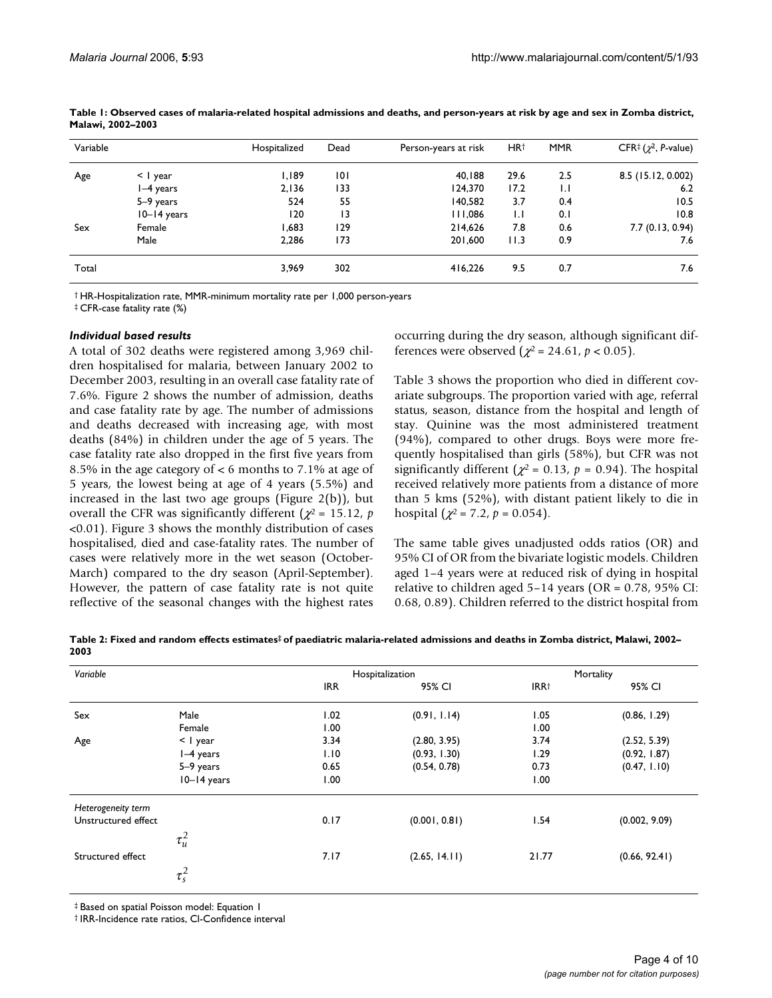| Variable |               | Hospitalized | Dead | Person-years at risk | HR <sup>+</sup> | <b>MMR</b>   | CFR <sup>‡</sup> ( $\chi^2$ , P-value) |
|----------|---------------|--------------|------|----------------------|-----------------|--------------|----------------------------------------|
| Age      | $\leq$   year | I.I89        | 0    | 40,188               | 29.6            | 2.5          | 8.5 (15.12, 0.002)                     |
|          | I-4 years     | 2,136        | 133  | 124,370              | 17.2            | $\mathbf{L}$ | 6.2                                    |
|          | 5-9 years     | 524          | 55   | 140,582              | 3.7             | 0.4          | 10.5                                   |
|          | 10-14 years   | 120          | 13   | 111,086              | $\mathbf{L}$    | 0.1          | 10.8                                   |
| Sex      | Female        | 683, ا       | 129  | 214,626              | 7.8             | 0.6          | 7.7(0.13, 0.94)                        |
|          | Male          | 2,286        | 173  | 201,600              | 11.3            | 0.9          | 7.6                                    |
| Total    |               | 3.969        | 302  | 416,226              | 9.5             | 0.7          | 7.6                                    |

**Table 1: Observed cases of malaria-related hospital admissions and deaths, and person-years at risk by age and sex in Zomba district, Malawi, 2002–2003**

† HR-Hospitalization rate, MMR-minimum mortality rate per 1,000 person-years

‡ CFR-case fatality rate (%)

#### *Individual based results*

A total of 302 deaths were registered among 3,969 children hospitalised for malaria, between January 2002 to December 2003, resulting in an overall case fatality rate of 7.6%. Figure 2 shows the number of admission, deaths and case fatality rate by age. The number of admissions and deaths decreased with increasing age, with most deaths (84%) in children under the age of 5 years. The case fatality rate also dropped in the first five years from 8.5% in the age category of < 6 months to 7.1% at age of 5 years, the lowest being at age of 4 years (5.5%) and increased in the last two age groups (Figure 2(b)), but overall the CFR was significantly different ( $\chi^2$  = 15.12, *p <*0.01). Figure 3 shows the monthly distribution of cases hospitalised, died and case-fatality rates. The number of cases were relatively more in the wet season (October-March) compared to the dry season (April-September). However, the pattern of case fatality rate is not quite reflective of the seasonal changes with the highest rates

occurring during the dry season, although significant differences were observed  $(\chi^2 = 24.61, p < 0.05)$ .

Table 3 shows the proportion who died in different covariate subgroups. The proportion varied with age, referral status, season, distance from the hospital and length of stay. Quinine was the most administered treatment (94%), compared to other drugs. Boys were more frequently hospitalised than girls (58%), but CFR was not significantly different ( $\chi^2$  = 0.13,  $p$  = 0.94). The hospital received relatively more patients from a distance of more than 5 kms (52%), with distant patient likely to die in hospital  $(\chi^2 = 7.2, p = 0.054)$ .

The same table gives unadjusted odds ratios (OR) and 95% CI of OR from the bivariate logistic models. Children aged 1–4 years were at reduced risk of dying in hospital relative to children aged  $5-14$  years (OR = 0.78, 95% CI: 0.68, 0.89). Children referred to the district hospital from

**Table 2: Fixed and random effects estimates‡ of paediatric malaria-related admissions and deaths in Zomba district, Malawi, 2002– 2003**

| Variable            |                 |      | Hospitalization |                  | Mortality     |
|---------------------|-----------------|------|-----------------|------------------|---------------|
|                     |                 | IRR  | 95% CI          | IRR <sup>+</sup> | 95% CI        |
| Sex                 | Male            | 1.02 | (0.91, 1.14)    | 1.05             | (0.86, 1.29)  |
|                     | Female          | 1.00 |                 | 1.00             |               |
| Age                 | $<$   year      | 3.34 | (2.80, 3.95)    | 3.74             | (2.52, 5.39)  |
|                     | $I-4$ years     | 1.10 | (0.93, 1.30)    | 1.29             | (0.92, 1.87)  |
|                     | 5-9 years       | 0.65 | (0.54, 0.78)    | 0.73             | (0.47, 1.10)  |
|                     | $10 - 14$ years | 00.1 |                 | 00.1             |               |
| Heterogeneity term  |                 |      |                 |                  |               |
| Unstructured effect |                 | 0.17 | (0.001, 0.81)   | 1.54             | (0.002, 9.09) |
|                     | $\tau_u^2$      |      |                 |                  |               |
| Structured effect   |                 | 7.17 | (2.65, 14.11)   | 21.77            | (0.66, 92.41) |
|                     | $\tau_s^2$      |      |                 |                  |               |

‡ Based on spatial Poisson model: Equation 1

† IRR-Incidence rate ratios, Cl-Confidence interval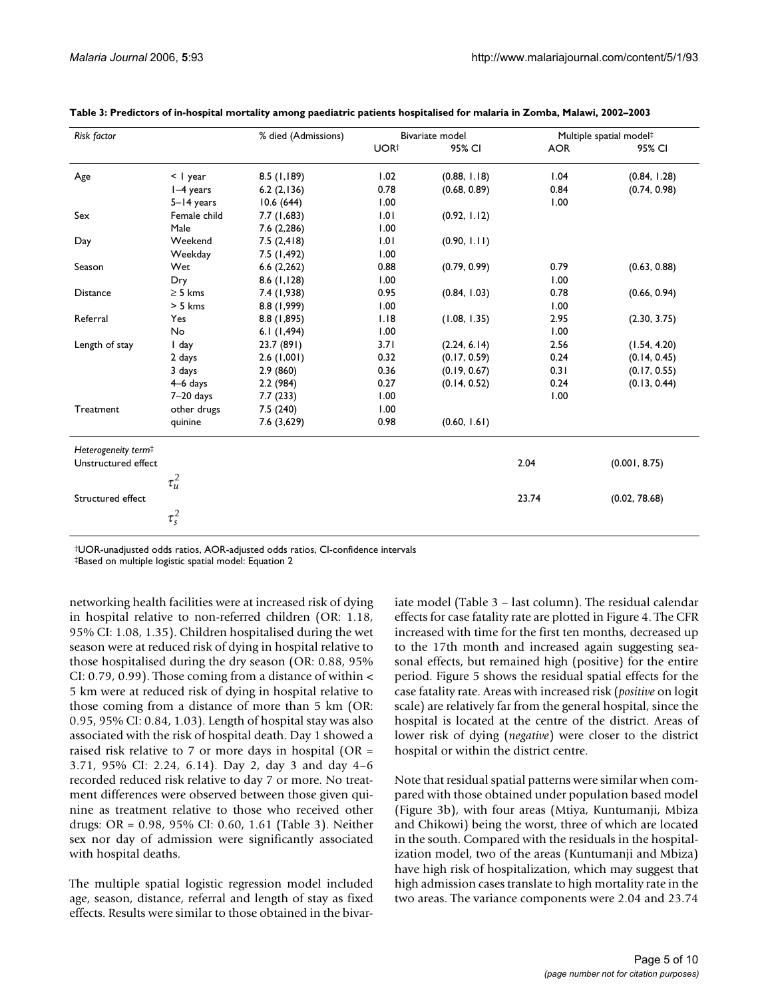| Risk factor                     |                | % died (Admissions) | Bivariate model  |              | Multiple spatial model# |               |
|---------------------------------|----------------|---------------------|------------------|--------------|-------------------------|---------------|
|                                 |                |                     | UOR <sup>+</sup> | 95% CI       | <b>AOR</b>              | 95% CI        |
| Age                             | <   year       | 8.5(1,189)          | 1.02             | (0.88, 1.18) | 1.04                    | (0.84, 1.28)  |
|                                 | I-4 years      | 6.2(2,136)          | 0.78             | (0.68, 0.89) | 0.84                    | (0.74, 0.98)  |
|                                 | $5 - 14$ years | 10.6(644)           | 1.00             |              | 1.00                    |               |
| Sex                             | Female child   | 7.7 (1,683)         | 1.01             | (0.92, 1.12) |                         |               |
|                                 | Male           | 7.6 (2,286)         | 1.00             |              |                         |               |
| Day                             | Weekend        | 7.5(2,418)          | 1.01             | (0.90, 1.11) |                         |               |
|                                 | Weekday        | 7.5 (1,492)         | 1.00             |              |                         |               |
| Season                          | Wet            | 6.6(2,262)          | 0.88             | (0.79, 0.99) | 0.79                    | (0.63, 0.88)  |
|                                 | Dry            | $8.6$ (1,128)       | 1.00             |              | 1.00                    |               |
| <b>Distance</b>                 | $\geq$ 5 kms   | 7.4 (1,938)         | 0.95             | (0.84, 1.03) | 0.78                    | (0.66, 0.94)  |
|                                 | $> 5$ kms      | 8.8 (1,999)         | 1.00             |              | 1.00                    |               |
| Referral                        | Yes            | 8.8 (1,895)         | 1.18             | (1.08, 1.35) | 2.95                    | (2.30, 3.75)  |
|                                 | No             | 6.1(1,494)          | 1.00             |              | 1.00                    |               |
| Length of stay                  | I day          | 23.7 (891)          | 3.71             | (2.24, 6.14) | 2.56                    | (1.54, 4.20)  |
|                                 | 2 days         | 2.6(1,001)          | 0.32             | (0.17, 0.59) | 0.24                    | (0.14, 0.45)  |
|                                 | 3 days         | 2.9(860)            | 0.36             | (0.19, 0.67) | 0.31                    | (0.17, 0.55)  |
|                                 | $4-6$ days     | 2.2(984)            | 0.27             | (0.14, 0.52) | 0.24                    | (0.13, 0.44)  |
|                                 | $7-20$ days    | 7.7(233)            | 1.00             |              | 1.00                    |               |
| Treatment                       | other drugs    | 7.5 (240)           | 1.00             |              |                         |               |
|                                 | quinine        | 7.6 (3,629)         | 0.98             | (0.60, 1.61) |                         |               |
| Heterogeneity term <sup>‡</sup> |                |                     |                  |              |                         |               |
| Unstructured effect             |                |                     |                  |              | 2.04                    | (0.001, 8.75) |
|                                 |                |                     |                  |              |                         |               |
|                                 | $\tau_u^2$     |                     |                  |              |                         |               |
| Structured effect               |                |                     |                  |              | 23.74                   | (0.02, 78.68) |
|                                 | $\tau_s^2$     |                     |                  |              |                         |               |
|                                 |                |                     |                  |              |                         |               |

| Table 3: Predictors of in-hospital mortality among paediatric patients hospitalised for malaria in Zomba, Malawi, 2002–2003 |  |  |  |  |
|-----------------------------------------------------------------------------------------------------------------------------|--|--|--|--|
|-----------------------------------------------------------------------------------------------------------------------------|--|--|--|--|

†UOR-unadjusted odds ratios, AOR-adjusted odds ratios, CI-confidence intervals

‡Based on multiple logistic spatial model: Equation 2

networking health facilities were at increased risk of dying in hospital relative to non-referred children (OR: 1.18, 95% CI: 1.08, 1.35). Children hospitalised during the wet season were at reduced risk of dying in hospital relative to those hospitalised during the dry season (OR: 0.88, 95% CI: 0.79, 0.99). Those coming from a distance of within  $\lt$ 5 km were at reduced risk of dying in hospital relative to those coming from a distance of more than 5 km (OR: 0.95, 95% CI: 0.84, 1.03). Length of hospital stay was also associated with the risk of hospital death. Day 1 showed a raised risk relative to 7 or more days in hospital (OR = 3.71, 95% CI: 2.24, 6.14). Day 2, day 3 and day 4–6 recorded reduced risk relative to day 7 or more. No treatment differences were observed between those given quinine as treatment relative to those who received other drugs: OR = 0.98, 95% CI: 0.60, 1.61 (Table 3). Neither sex nor day of admission were significantly associated with hospital deaths.

The multiple spatial logistic regression model included age, season, distance, referral and length of stay as fixed effects. Results were similar to those obtained in the bivariate model (Table 3 – last column). The residual calendar effects for case fatality rate are plotted in Figure 4. The CFR increased with time for the first ten months, decreased up to the 17th month and increased again suggesting seasonal effects, but remained high (positive) for the entire period. Figure 5 shows the residual spatial effects for the case fatality rate. Areas with increased risk (*positive* on logit scale) are relatively far from the general hospital, since the hospital is located at the centre of the district. Areas of lower risk of dying (*negative*) were closer to the district hospital or within the district centre.

Note that residual spatial patterns were similar when compared with those obtained under population based model (Figure 3b), with four areas (Mtiya, Kuntumanji, Mbiza and Chikowi) being the worst, three of which are located in the south. Compared with the residuals in the hospitalization model, two of the areas (Kuntumanji and Mbiza) have high risk of hospitalization, which may suggest that high admission cases translate to high mortality rate in the two areas. The variance components were 2.04 and 23.74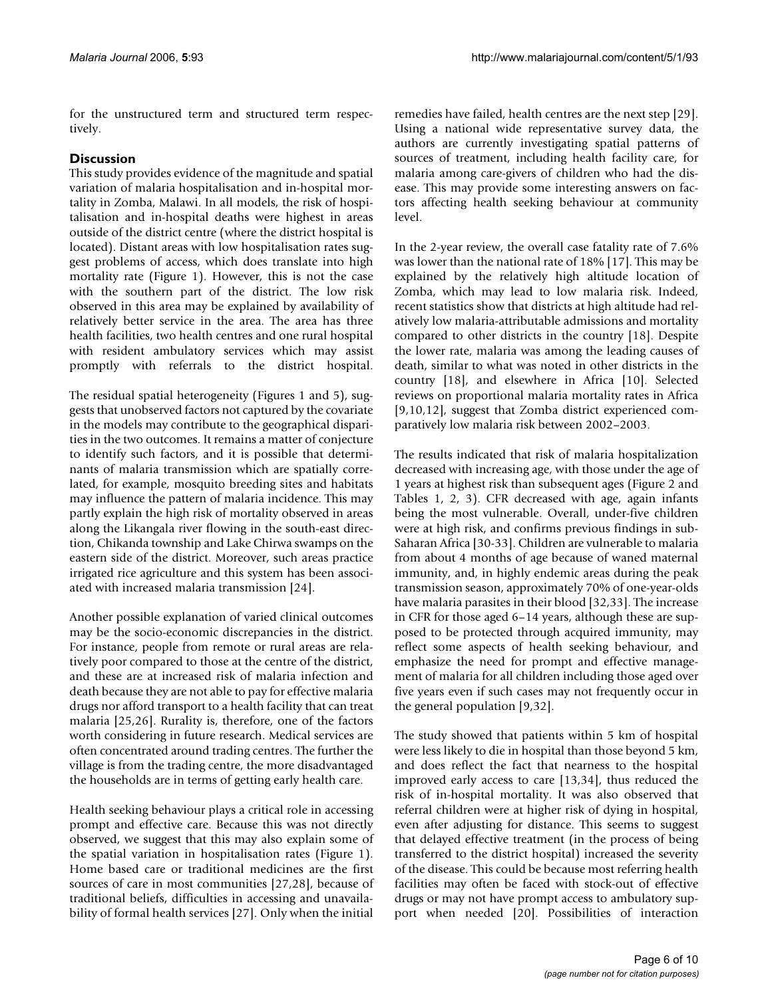for the unstructured term and structured term respectively.

# **Discussion**

This study provides evidence of the magnitude and spatial variation of malaria hospitalisation and in-hospital mortality in Zomba, Malawi. In all models, the risk of hospitalisation and in-hospital deaths were highest in areas outside of the district centre (where the district hospital is located). Distant areas with low hospitalisation rates suggest problems of access, which does translate into high mortality rate (Figure 1). However, this is not the case with the southern part of the district. The low risk observed in this area may be explained by availability of relatively better service in the area. The area has three health facilities, two health centres and one rural hospital with resident ambulatory services which may assist promptly with referrals to the district hospital.

The residual spatial heterogeneity (Figures 1 and 5), suggests that unobserved factors not captured by the covariate in the models may contribute to the geographical disparities in the two outcomes. It remains a matter of conjecture to identify such factors, and it is possible that determinants of malaria transmission which are spatially correlated, for example, mosquito breeding sites and habitats may influence the pattern of malaria incidence. This may partly explain the high risk of mortality observed in areas along the Likangala river flowing in the south-east direction, Chikanda township and Lake Chirwa swamps on the eastern side of the district. Moreover, such areas practice irrigated rice agriculture and this system has been associated with increased malaria transmission [24].

Another possible explanation of varied clinical outcomes may be the socio-economic discrepancies in the district. For instance, people from remote or rural areas are relatively poor compared to those at the centre of the district, and these are at increased risk of malaria infection and death because they are not able to pay for effective malaria drugs nor afford transport to a health facility that can treat malaria [25,26]. Rurality is, therefore, one of the factors worth considering in future research. Medical services are often concentrated around trading centres. The further the village is from the trading centre, the more disadvantaged the households are in terms of getting early health care.

Health seeking behaviour plays a critical role in accessing prompt and effective care. Because this was not directly observed, we suggest that this may also explain some of the spatial variation in hospitalisation rates (Figure 1). Home based care or traditional medicines are the first sources of care in most communities [27,28], because of traditional beliefs, difficulties in accessing and unavailability of formal health services [27]. Only when the initial

remedies have failed, health centres are the next step [29]. Using a national wide representative survey data, the authors are currently investigating spatial patterns of sources of treatment, including health facility care, for malaria among care-givers of children who had the disease. This may provide some interesting answers on factors affecting health seeking behaviour at community level.

In the 2-year review, the overall case fatality rate of 7.6% was lower than the national rate of 18% [17]. This may be explained by the relatively high altitude location of Zomba, which may lead to low malaria risk. Indeed, recent statistics show that districts at high altitude had relatively low malaria-attributable admissions and mortality compared to other districts in the country [18]. Despite the lower rate, malaria was among the leading causes of death, similar to what was noted in other districts in the country [18], and elsewhere in Africa [10]. Selected reviews on proportional malaria mortality rates in Africa [9,10,12], suggest that Zomba district experienced comparatively low malaria risk between 2002–2003.

The results indicated that risk of malaria hospitalization decreased with increasing age, with those under the age of 1 years at highest risk than subsequent ages (Figure 2 and Tables 1, 2, 3). CFR decreased with age, again infants being the most vulnerable. Overall, under-five children were at high risk, and confirms previous findings in sub-Saharan Africa [30-33]. Children are vulnerable to malaria from about 4 months of age because of waned maternal immunity, and, in highly endemic areas during the peak transmission season, approximately 70% of one-year-olds have malaria parasites in their blood [32,33]. The increase in CFR for those aged 6–14 years, although these are supposed to be protected through acquired immunity, may reflect some aspects of health seeking behaviour, and emphasize the need for prompt and effective management of malaria for all children including those aged over five years even if such cases may not frequently occur in the general population [9,32].

The study showed that patients within 5 km of hospital were less likely to die in hospital than those beyond 5 km, and does reflect the fact that nearness to the hospital improved early access to care [13,34], thus reduced the risk of in-hospital mortality. It was also observed that referral children were at higher risk of dying in hospital, even after adjusting for distance. This seems to suggest that delayed effective treatment (in the process of being transferred to the district hospital) increased the severity of the disease. This could be because most referring health facilities may often be faced with stock-out of effective drugs or may not have prompt access to ambulatory support when needed [20]. Possibilities of interaction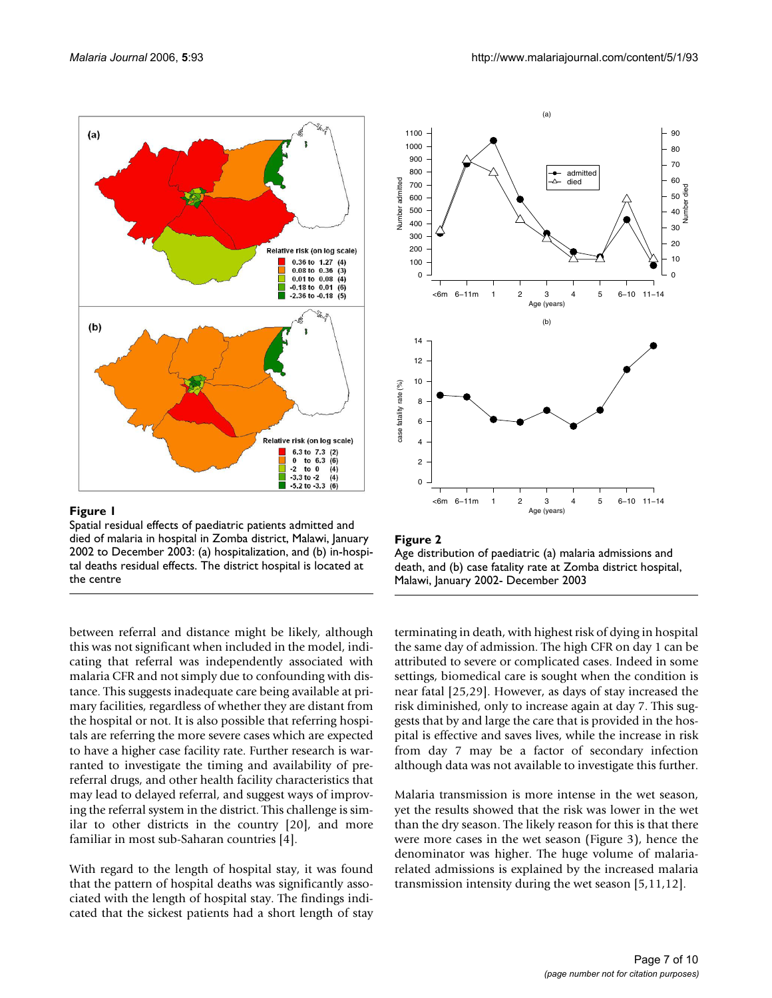

#### **Figure I**

Spatial residual effects of paediatric patients admitted and died of malaria in hospital in Zomba district, Malawi, January 2002 to December 2003: (a) hospitalization, and (b) in-hospital deaths residual effects. The district hospital is located at the centre

between referral and distance might be likely, although this was not significant when included in the model, indicating that referral was independently associated with malaria CFR and not simply due to confounding with distance. This suggests inadequate care being available at primary facilities, regardless of whether they are distant from the hospital or not. It is also possible that referring hospitals are referring the more severe cases which are expected to have a higher case facility rate. Further research is warranted to investigate the timing and availability of prereferral drugs, and other health facility characteristics that may lead to delayed referral, and suggest ways of improving the referral system in the district. This challenge is similar to other districts in the country [20], and more familiar in most sub-Saharan countries [4].

With regard to the length of hospital stay, it was found that the pattern of hospital deaths was significantly associated with the length of hospital stay. The findings indicated that the sickest patients had a short length of stay



#### Figure 2

Age distribution of paediatric (a) malaria admissions and death, and (b) case fatality rate at Zomba district hospital, Malawi, January 2002- December 2003

terminating in death, with highest risk of dying in hospital the same day of admission. The high CFR on day 1 can be attributed to severe or complicated cases. Indeed in some settings, biomedical care is sought when the condition is near fatal [25,29]. However, as days of stay increased the risk diminished, only to increase again at day 7. This suggests that by and large the care that is provided in the hospital is effective and saves lives, while the increase in risk from day 7 may be a factor of secondary infection although data was not available to investigate this further.

Malaria transmission is more intense in the wet season, yet the results showed that the risk was lower in the wet than the dry season. The likely reason for this is that there were more cases in the wet season (Figure 3), hence the denominator was higher. The huge volume of malariarelated admissions is explained by the increased malaria transmission intensity during the wet season [5,11,12].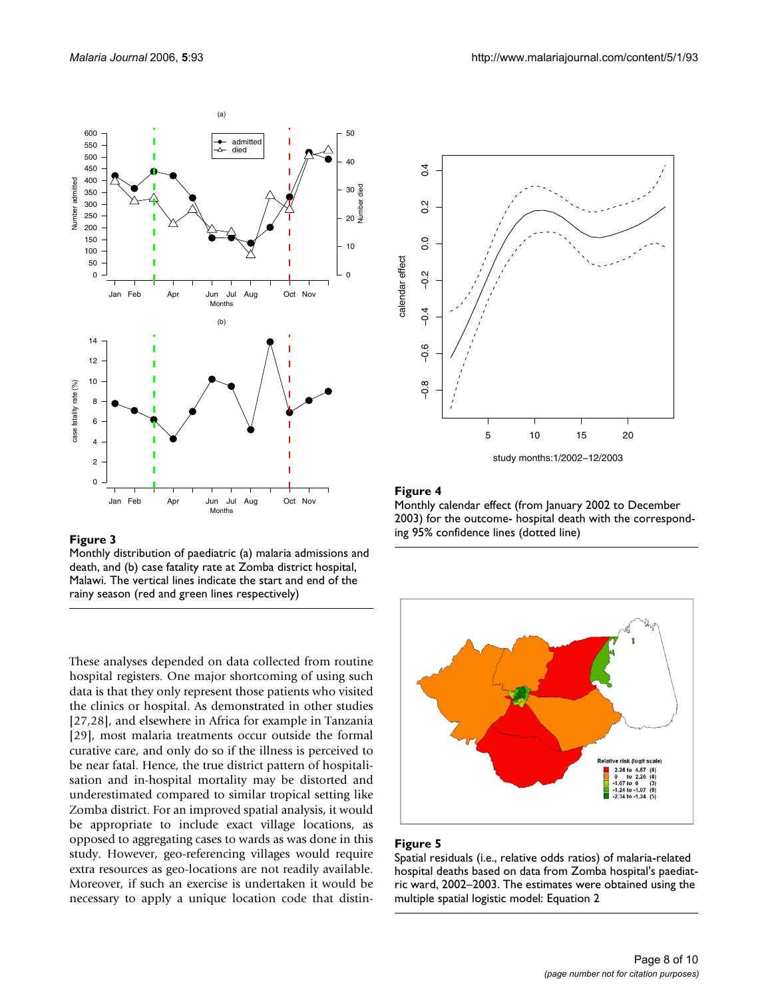



#### Figure 3

Monthly distribution of paediatric (a) malaria admissions and death, and (b) case fatality rate at Zomba district hospital, Malawi. The vertical lines indicate the start and end of the rainy season (red and green lines respectively)

These analyses depended on data collected from routine hospital registers. One major shortcoming of using such data is that they only represent those patients who visited the clinics or hospital. As demonstrated in other studies [27,28], and elsewhere in Africa for example in Tanzania [29], most malaria treatments occur outside the formal curative care, and only do so if the illness is perceived to be near fatal. Hence, the true district pattern of hospitalisation and in-hospital mortality may be distorted and underestimated compared to similar tropical setting like Zomba district. For an improved spatial analysis, it would be appropriate to include exact village locations, as opposed to aggregating cases to wards as was done in this study. However, geo-referencing villages would require extra resources as geo-locations are not readily available. Moreover, if such an exercise is undertaken it would be necessary to apply a unique location code that distin-



#### Figure 4

Monthly calendar effect (from January 2002 to December 2003) for the outcome- hospital death with the corresponding 95% confidence lines (dotted line)



#### Figure 5

Spatial residuals (i.e., relative odds ratios) of malaria-related hospital deaths based on data from Zomba hospital's paediatric ward, 2002–2003. The estimates were obtained using the multiple spatial logistic model: Equation 2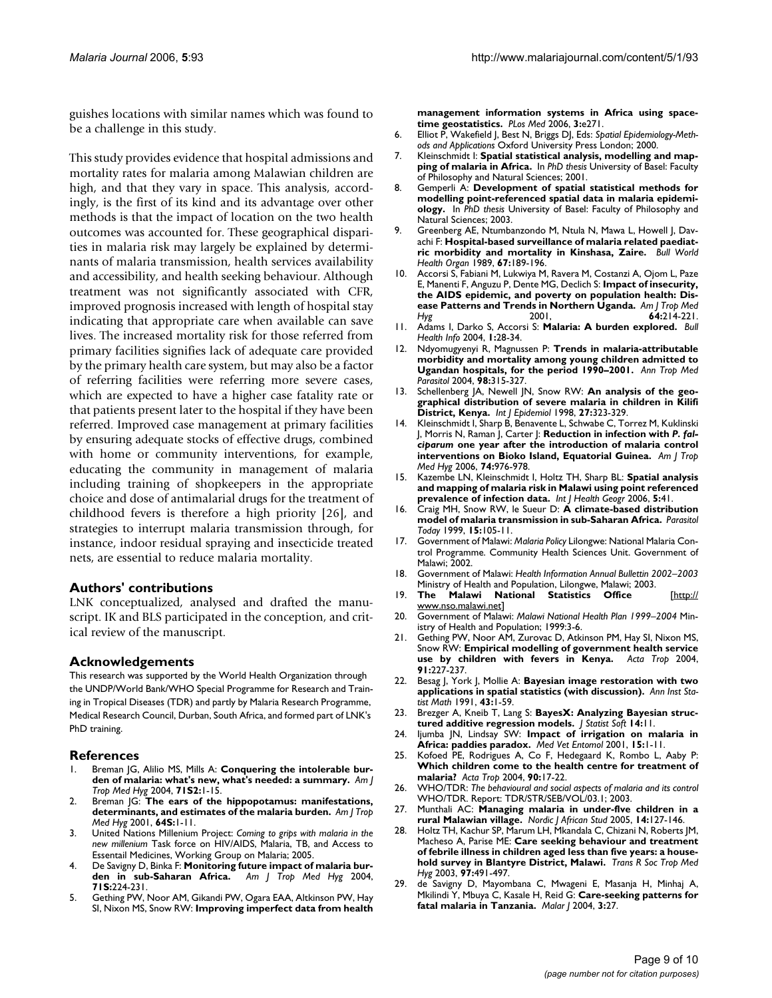guishes locations with similar names which was found to be a challenge in this study.

This study provides evidence that hospital admissions and mortality rates for malaria among Malawian children are high, and that they vary in space. This analysis, accordingly, is the first of its kind and its advantage over other methods is that the impact of location on the two health outcomes was accounted for. These geographical disparities in malaria risk may largely be explained by determinants of malaria transmission, health services availability and accessibility, and health seeking behaviour. Although treatment was not significantly associated with CFR, improved prognosis increased with length of hospital stay indicating that appropriate care when available can save lives. The increased mortality risk for those referred from primary facilities signifies lack of adequate care provided by the primary health care system, but may also be a factor of referring facilities were referring more severe cases, which are expected to have a higher case fatality rate or that patients present later to the hospital if they have been referred. Improved case management at primary facilities by ensuring adequate stocks of effective drugs, combined with home or community interventions, for example, educating the community in management of malaria including training of shopkeepers in the appropriate choice and dose of antimalarial drugs for the treatment of childhood fevers is therefore a high priority [26], and strategies to interrupt malaria transmission through, for instance, indoor residual spraying and insecticide treated nets, are essential to reduce malaria mortality.

#### **Authors' contributions**

LNK conceptualized, analysed and drafted the manuscript. IK and BLS participated in the conception, and critical review of the manuscript.

#### **Acknowledgements**

This research was supported by the World Health Organization through the UNDP/World Bank/WHO Special Programme for Research and Training in Tropical Diseases (TDR) and partly by Malaria Research Programme, Medical Research Council, Durban, South Africa, and formed part of LNK's PhD training.

#### **References**

- Breman JG, Alilio MS, Mills A: **Conquering the intolerable burden of malaria: what's new, what's needed: a summary.** *Am J Trop Med Hyg* 2004, **71S2:**1-15.
- 2. Breman JG: **The ears of the hippopotamus: manifestations, determinants, and estimates of the malaria burden.** *Am J Trop Med Hyg* 2001, **64S:**1-11.
- 3. United Nations Millenium Project: *Coming to grips with malaria in the new millenium* Task force on HIV/AIDS, Malaria, TB, and Access to Essentail Medicines, Working Group on Malaria; 2005.
- 4. De Savigny D, Binka F: **Monitoring future impact of malaria bur**den in sub-Saharan Africa. **71S:**224-231.
- 5. Gething PW, Noor AM, Gikandi PW, Ogara EAA, Altkinson PW, Hay SI, Nixon MS, Snow RW: **[Improving imperfect data from health](http://www.ncbi.nlm.nih.gov/entrez/query.fcgi?cmd=Retrieve&db=PubMed&dopt=Abstract&list_uids=16719557)**

**[management information systems in Africa using space](http://www.ncbi.nlm.nih.gov/entrez/query.fcgi?cmd=Retrieve&db=PubMed&dopt=Abstract&list_uids=16719557)[time geostatistics.](http://www.ncbi.nlm.nih.gov/entrez/query.fcgi?cmd=Retrieve&db=PubMed&dopt=Abstract&list_uids=16719557)** *PLos Med* 2006, **3:**e271.

- 6. Elliot P, Wakefield J, Best N, Briggs DJ, Eds: *Spatial Epidemiology-Methods and Applications* Oxford University Press London; 2000.
- 7. Kleinschmidt I: **Spatial statistical analysis, modelling and mapping of malaria in Africa.** In *PhD thesis* University of Basel: Faculty of Philosophy and Natural Sciences; 2001.
- 8. Gemperli A: **Development of spatial statistical methods for modelling point-referenced spatial data in malaria epidemiology.** In *PhD thesis* University of Basel: Faculty of Philosophy and Natural Sciences; 2003.
- Greenberg AE, Ntumbanzondo M, Ntula N, Mawa L, Howell J, Davachi F: **[Hospital-based surveillance of malaria related paediat](http://www.ncbi.nlm.nih.gov/entrez/query.fcgi?cmd=Retrieve&db=PubMed&dopt=Abstract&list_uids=2743538)[ric morbidity and mortality in Kinshasa, Zaire.](http://www.ncbi.nlm.nih.gov/entrez/query.fcgi?cmd=Retrieve&db=PubMed&dopt=Abstract&list_uids=2743538)** *Bull World Health Organ* 1989, **67:**189-196.
- 10. Accorsi S, Fabiani M, Lukwiya M, Ravera M, Costanzi A, Ojom L, Paze E, Manenti F, Anguzu P, Dente MG, Declich S: **[Impact of insecurity,](http://www.ncbi.nlm.nih.gov/entrez/query.fcgi?cmd=Retrieve&db=PubMed&dopt=Abstract&list_uids=11442220) [the AIDS epidemic, and poverty on population health: Dis](http://www.ncbi.nlm.nih.gov/entrez/query.fcgi?cmd=Retrieve&db=PubMed&dopt=Abstract&list_uids=11442220)[ease Patterns and Trends in Northern Uganda.](http://www.ncbi.nlm.nih.gov/entrez/query.fcgi?cmd=Retrieve&db=PubMed&dopt=Abstract&list_uids=11442220)** *Am J Trop Med Hyg* 2001, **64:**214-221.
- 11. Adams I, Darko S, Accorsi S: **Malaria: A burden explored.** *Bull Health Info* 2004, **1:**28-34.
- 12. Ndyomugyenyi R, Magnussen P: **[Trends in malaria-attributable](http://www.ncbi.nlm.nih.gov/entrez/query.fcgi?cmd=Retrieve&db=PubMed&dopt=Abstract&list_uids=15228713) [morbidity and mortality among young children admitted to](http://www.ncbi.nlm.nih.gov/entrez/query.fcgi?cmd=Retrieve&db=PubMed&dopt=Abstract&list_uids=15228713) [Ugandan hospitals, for the period 1990–2001.](http://www.ncbi.nlm.nih.gov/entrez/query.fcgi?cmd=Retrieve&db=PubMed&dopt=Abstract&list_uids=15228713)** *Ann Trop Med Parasitol* 2004, **98:**315-327.
- 13. Schellenberg JA, Newell JN, Snow RW: **[An analysis of the geo](http://www.ncbi.nlm.nih.gov/entrez/query.fcgi?cmd=Retrieve&db=PubMed&dopt=Abstract&list_uids=9602418)[graphical distribution of severe malaria in children in Kilifi](http://www.ncbi.nlm.nih.gov/entrez/query.fcgi?cmd=Retrieve&db=PubMed&dopt=Abstract&list_uids=9602418) [District, Kenya.](http://www.ncbi.nlm.nih.gov/entrez/query.fcgi?cmd=Retrieve&db=PubMed&dopt=Abstract&list_uids=9602418)** *Int J Epidemiol* 1998, **27:**323-329.
- 14. Kleinschmidt I, Sharp B, Benavente L, Schwabe C, Torrez M, Kuklinski J, Morris N, Raman J, Carter J: **Reduction in infection with** *P. falciparum* **one year after the introduction of malaria control interventions on Bioko Island, Equatorial Guinea.** *Am J Trop Med Hyg* 2006, **74:**976-978.
- 15. Kazembe LN, Kleinschmidt I, Holtz TH, Sharp BL: **[Spatial analysis](http://www.ncbi.nlm.nih.gov/entrez/query.fcgi?cmd=Retrieve&db=PubMed&dopt=Abstract&list_uids=16987415) [and mapping of malaria risk in Malawi using point referenced](http://www.ncbi.nlm.nih.gov/entrez/query.fcgi?cmd=Retrieve&db=PubMed&dopt=Abstract&list_uids=16987415) [prevalence of infection data.](http://www.ncbi.nlm.nih.gov/entrez/query.fcgi?cmd=Retrieve&db=PubMed&dopt=Abstract&list_uids=16987415)** *Int J Health Geogr* 2006, **5:**41.
- 16. Craig MH, Snow RW, le Sueur D: **[A climate-based distribution](http://www.ncbi.nlm.nih.gov/entrez/query.fcgi?cmd=Retrieve&db=PubMed&dopt=Abstract&list_uids=10322323) [model of malaria transmission in sub-Saharan Africa.](http://www.ncbi.nlm.nih.gov/entrez/query.fcgi?cmd=Retrieve&db=PubMed&dopt=Abstract&list_uids=10322323)** *Parasitol Today* 1999, **15:**105-11.
- 17. Government of Malawi: *Malaria Policy* Lilongwe: National Malaria Control Programme. Community Health Sciences Unit. Government of Malawi; 2002.
- 18. Government of Malawi: *Health Information Annual Bullettin 2002–2003* Ministry of Health and Population, Lilongwe, Malawi; 2003.
- 19. **The Malawi National Statistics Office** [\[http://](http://www.nso.malawi.net) [www.nso.malawi.net\]](http://www.nso.malawi.net)
- 20. Government of Malawi: *Malawi National Health Plan 1999–2004* Ministry of Health and Population; 1999:3-6.
- 21. Gething PW, Noor AM, Zurovac D, Atkinson PM, Hay SI, Nixon MS, Snow RW: **[Empirical modelling of government health service](http://www.ncbi.nlm.nih.gov/entrez/query.fcgi?cmd=Retrieve&db=PubMed&dopt=Abstract&list_uids=15246929) [use by children with fevers in Kenya.](http://www.ncbi.nlm.nih.gov/entrez/query.fcgi?cmd=Retrieve&db=PubMed&dopt=Abstract&list_uids=15246929)** *Acta Trop* 2004, **91:**227-237.
- 22. Besag J, York J, Mollie A: **Bayesian image restoration with two applications in spatial statistics (with discussion).** *Ann Inst Statist Math* 1991, **43:**1-59.
- 23. Brezger A, Kneib T, Lang S: **BayesX: Analyzing Bayesian structured additive regression models.** *J Statist Soft* **14:**11.
- 24. Ijumba JN, Lindsay SW: **[Impact of irrigation on malaria in](http://www.ncbi.nlm.nih.gov/entrez/query.fcgi?cmd=Retrieve&db=PubMed&dopt=Abstract&list_uids=11297093) [Africa: paddies paradox.](http://www.ncbi.nlm.nih.gov/entrez/query.fcgi?cmd=Retrieve&db=PubMed&dopt=Abstract&list_uids=11297093)** *Med Vet Entomol* 2001, **15:**1-11.
- 25. Kofoed PE, Rodrigues A, Co F, Hedegaard K, Rombo L, Aaby P: **[Which children come to the health centre for treatment of](http://www.ncbi.nlm.nih.gov/entrez/query.fcgi?cmd=Retrieve&db=PubMed&dopt=Abstract&list_uids=14739018) [malaria?](http://www.ncbi.nlm.nih.gov/entrez/query.fcgi?cmd=Retrieve&db=PubMed&dopt=Abstract&list_uids=14739018)** *Acta Trop* 2004, **90:**17-22.
- 26. WHO/TDR: *The behavioural and social aspects of malaria and its control* WHO/TDR. Report: TDR/STR/SEB/VOL/03.1; 2003.
- 27. Munthali AC: **Managing malaria in under-flve children in a rural Malawian village.** *Nordic J African Stud* 2005, **14:**127-146.
- 28. Holtz TH, Kachur SP, Marum LH, Mkandala C, Chizani N, Roberts JM, Macheso A, Parise ME: **[Care seeking behaviour and treatment](http://www.ncbi.nlm.nih.gov/entrez/query.fcgi?cmd=Retrieve&db=PubMed&dopt=Abstract&list_uids=15307408) [of febrile illness in children aged less than five years: a house](http://www.ncbi.nlm.nih.gov/entrez/query.fcgi?cmd=Retrieve&db=PubMed&dopt=Abstract&list_uids=15307408)[hold survey in Blantyre District, Malawi.](http://www.ncbi.nlm.nih.gov/entrez/query.fcgi?cmd=Retrieve&db=PubMed&dopt=Abstract&list_uids=15307408)** *Trans R Soc Trop Med Hyg* 2003, **97:**491-497.
- 29. de Savigny D, Mayombana C, Mwageni E, Masanja H, Minhaj A, Mkilindi Y, Mbuya C, Kasale H, Reid G: **[Care-seeking patterns for](http://www.ncbi.nlm.nih.gov/entrez/query.fcgi?cmd=Retrieve&db=PubMed&dopt=Abstract&list_uids=15282029) [fatal malaria in Tanzania.](http://www.ncbi.nlm.nih.gov/entrez/query.fcgi?cmd=Retrieve&db=PubMed&dopt=Abstract&list_uids=15282029)** *Malar J* 2004, **3:**27.